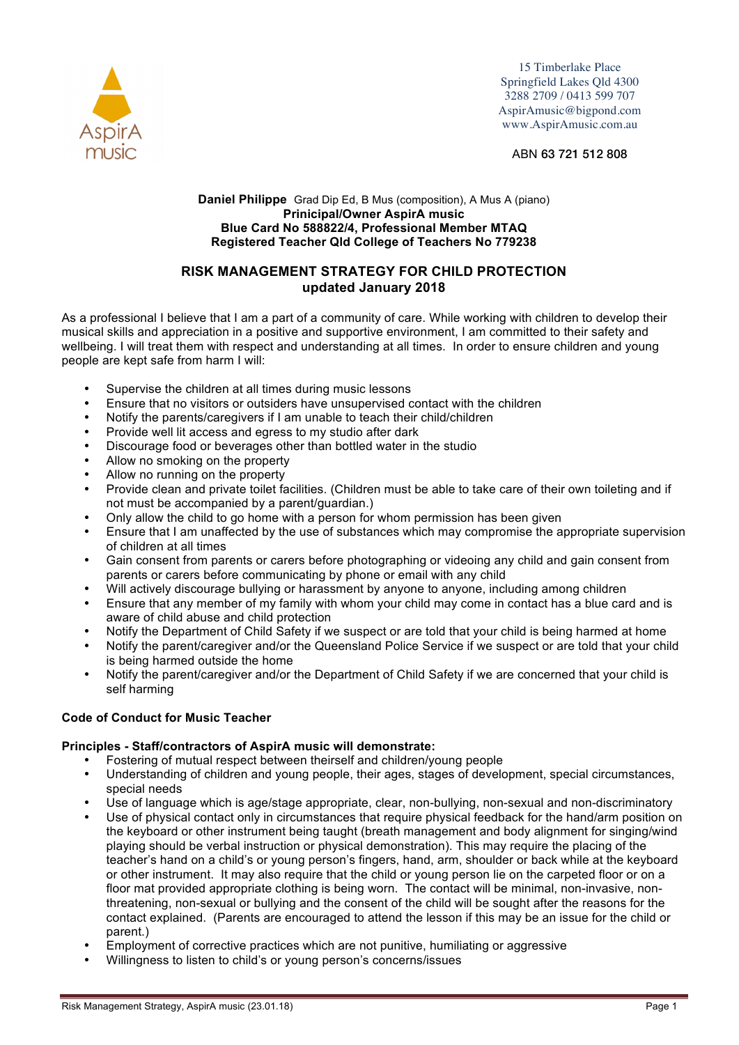

15 Timberlake Place Springfield Lakes Qld 4300 3288 2709 / 0413 599 707 AspirAmusic@bigpond.com www.AspirAmusic.com.au

ABN 63 721 512 808

## **Daniel Philippe** Grad Dip Ed, B Mus (composition), A Mus A (piano) **Prinicipal/Owner AspirA music Blue Card No 588822/4, Professional Member MTAQ Registered Teacher Qld College of Teachers No 779238**

# **RISK MANAGEMENT STRATEGY FOR CHILD PROTECTION updated January 2018**

As a professional I believe that I am a part of a community of care. While working with children to develop their musical skills and appreciation in a positive and supportive environment, I am committed to their safety and wellbeing. I will treat them with respect and understanding at all times. In order to ensure children and young people are kept safe from harm I will:

- Supervise the children at all times during music lessons
- Ensure that no visitors or outsiders have unsupervised contact with the children
- Notify the parents/caregivers if I am unable to teach their child/children
- Provide well lit access and egress to my studio after dark
- Discourage food or beverages other than bottled water in the studio
- Allow no smoking on the property
- Allow no running on the property
- Provide clean and private toilet facilities. (Children must be able to take care of their own toileting and if not must be accompanied by a parent/guardian.)
- Only allow the child to go home with a person for whom permission has been given
- Ensure that I am unaffected by the use of substances which may compromise the appropriate supervision of children at all times
- Gain consent from parents or carers before photographing or videoing any child and gain consent from parents or carers before communicating by phone or email with any child
- Will actively discourage bullying or harassment by anyone to anyone, including among children
- Ensure that any member of my family with whom your child may come in contact has a blue card and is aware of child abuse and child protection
- Notify the Department of Child Safety if we suspect or are told that your child is being harmed at home
- Notify the parent/caregiver and/or the Queensland Police Service if we suspect or are told that your child is being harmed outside the home
- Notify the parent/caregiver and/or the Department of Child Safety if we are concerned that your child is self harming

# **Code of Conduct for Music Teacher**

# **Principles - Staff/contractors of AspirA music will demonstrate:**

- Fostering of mutual respect between theirself and children/young people
- Understanding of children and young people, their ages, stages of development, special circumstances, special needs
- Use of language which is age/stage appropriate, clear, non-bullying, non-sexual and non-discriminatory
- Use of physical contact only in circumstances that require physical feedback for the hand/arm position on the keyboard or other instrument being taught (breath management and body alignment for singing/wind playing should be verbal instruction or physical demonstration). This may require the placing of the teacher's hand on a child's or young person's fingers, hand, arm, shoulder or back while at the keyboard or other instrument. It may also require that the child or young person lie on the carpeted floor or on a floor mat provided appropriate clothing is being worn. The contact will be minimal, non-invasive, nonthreatening, non-sexual or bullying and the consent of the child will be sought after the reasons for the contact explained. (Parents are encouraged to attend the lesson if this may be an issue for the child or parent.)
- Employment of corrective practices which are not punitive, humiliating or aggressive
- Willingness to listen to child's or young person's concerns/issues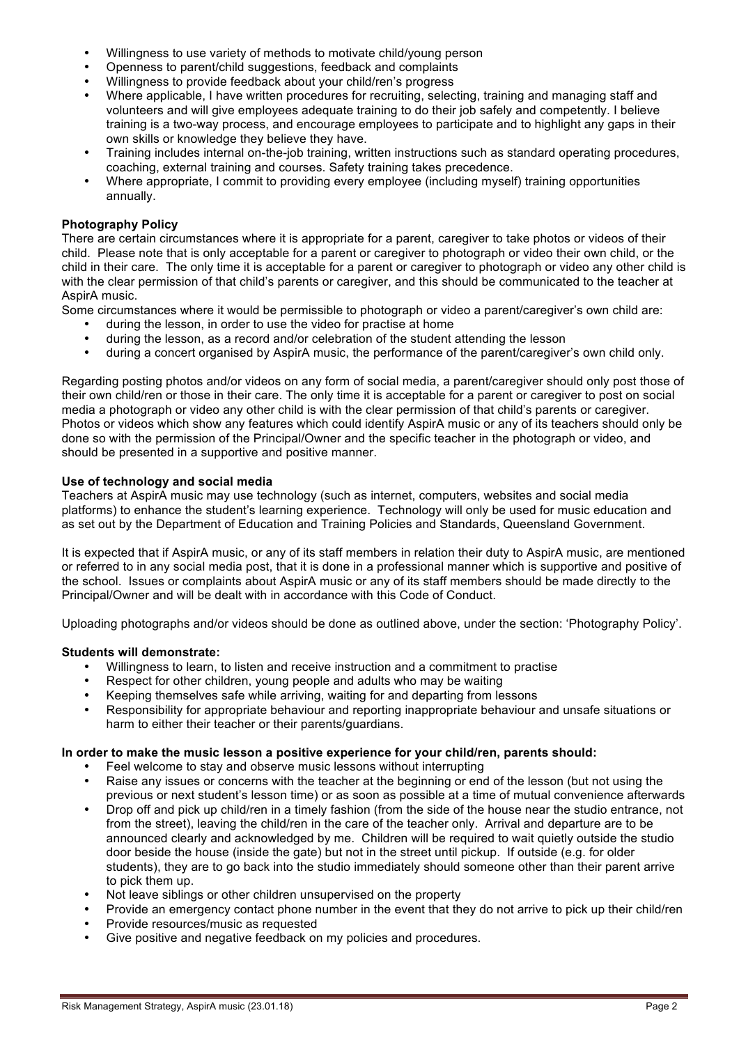- Willingness to use variety of methods to motivate child/young person
- Openness to parent/child suggestions, feedback and complaints
- Willingness to provide feedback about your child/ren's progress
- Where applicable, I have written procedures for recruiting, selecting, training and managing staff and volunteers and will give employees adequate training to do their job safely and competently. I believe training is a two-way process, and encourage employees to participate and to highlight any gaps in their own skills or knowledge they believe they have.
- Training includes internal on-the-job training, written instructions such as standard operating procedures, coaching, external training and courses. Safety training takes precedence.
- Where appropriate, I commit to providing every employee (including myself) training opportunities annually.

## **Photography Policy**

There are certain circumstances where it is appropriate for a parent, caregiver to take photos or videos of their child. Please note that is only acceptable for a parent or caregiver to photograph or video their own child, or the child in their care. The only time it is acceptable for a parent or caregiver to photograph or video any other child is with the clear permission of that child's parents or caregiver, and this should be communicated to the teacher at AspirA music.

Some circumstances where it would be permissible to photograph or video a parent/caregiver's own child are:

- during the lesson, in order to use the video for practise at home<br>• during the lesson, as a record and/or celebration of the student
- during the lesson, as a record and/or celebration of the student attending the lesson<br>• during a concert organised by AspirA music, the performance of the parent/caregive
- during a concert organised by AspirA music, the performance of the parent/caregiver's own child only.

Regarding posting photos and/or videos on any form of social media, a parent/caregiver should only post those of their own child/ren or those in their care. The only time it is acceptable for a parent or caregiver to post on social media a photograph or video any other child is with the clear permission of that child's parents or caregiver. Photos or videos which show any features which could identify AspirA music or any of its teachers should only be done so with the permission of the Principal/Owner and the specific teacher in the photograph or video, and should be presented in a supportive and positive manner.

### **Use of technology and social media**

Teachers at AspirA music may use technology (such as internet, computers, websites and social media platforms) to enhance the student's learning experience. Technology will only be used for music education and as set out by the Department of Education and Training Policies and Standards, Queensland Government.

It is expected that if AspirA music, or any of its staff members in relation their duty to AspirA music, are mentioned or referred to in any social media post, that it is done in a professional manner which is supportive and positive of the school. Issues or complaints about AspirA music or any of its staff members should be made directly to the Principal/Owner and will be dealt with in accordance with this Code of Conduct.

Uploading photographs and/or videos should be done as outlined above, under the section: 'Photography Policy'.

#### **Students will demonstrate:**

- Willingness to learn, to listen and receive instruction and a commitment to practise
- Respect for other children, young people and adults who may be waiting
- Keeping themselves safe while arriving, waiting for and departing from lessons
- Responsibility for appropriate behaviour and reporting inappropriate behaviour and unsafe situations or harm to either their teacher or their parents/guardians.

#### **In order to make the music lesson a positive experience for your child/ren, parents should:**

- Feel welcome to stay and observe music lessons without interrupting<br>• Raise any issues or concerns with the teacher at the beginning or eng
- Raise any issues or concerns with the teacher at the beginning or end of the lesson (but not using the previous or next student's lesson time) or as soon as possible at a time of mutual convenience afterwards
- Drop off and pick up child/ren in a timely fashion (from the side of the house near the studio entrance, not from the street), leaving the child/ren in the care of the teacher only. Arrival and departure are to be announced clearly and acknowledged by me. Children will be required to wait quietly outside the studio door beside the house (inside the gate) but not in the street until pickup. If outside (e.g. for older students), they are to go back into the studio immediately should someone other than their parent arrive to pick them up.
- Not leave siblings or other children unsupervised on the property
- Provide an emergency contact phone number in the event that they do not arrive to pick up their child/ren
- Provide resources/music as requested
- Give positive and negative feedback on my policies and procedures.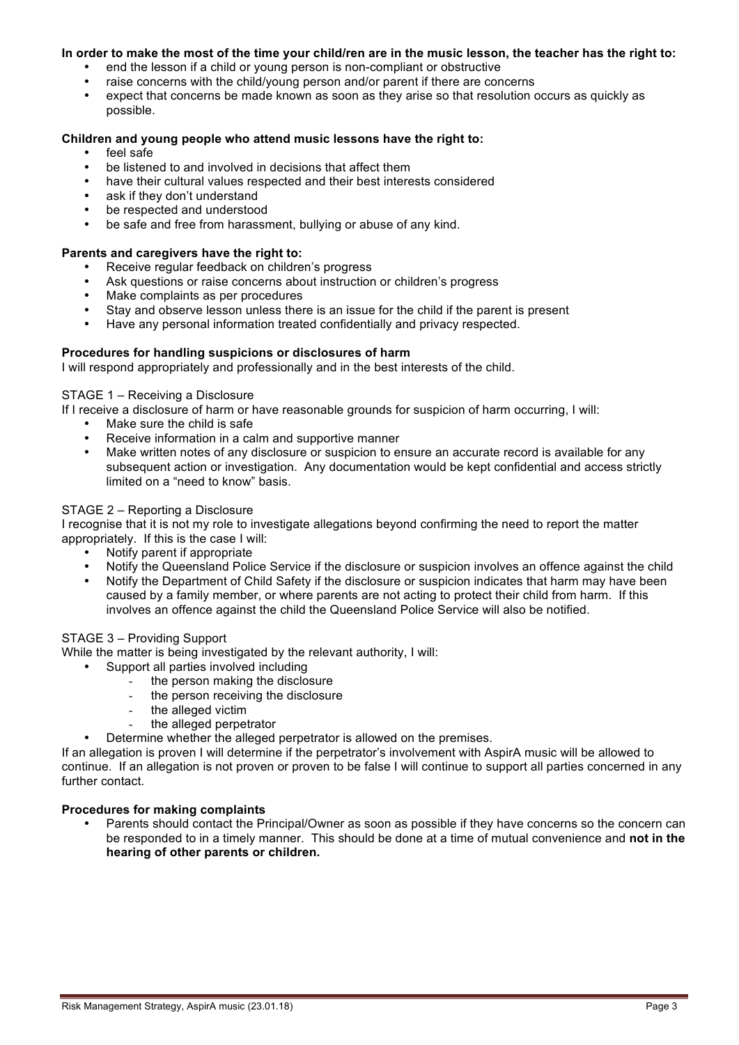### **In order to make the most of the time your child/ren are in the music lesson, the teacher has the right to:**

- end the lesson if a child or young person is non-compliant or obstructive
- raise concerns with the child/young person and/or parent if there are concerns
- expect that concerns be made known as soon as they arise so that resolution occurs as quickly as possible.

# **Children and young people who attend music lessons have the right to:**

- feel safe
- be listened to and involved in decisions that affect them
- have their cultural values respected and their best interests considered
- ask if they don't understand
- be respected and understood
- be safe and free from harassment, bullying or abuse of any kind.

# **Parents and caregivers have the right to:**

- Receive regular feedback on children's progress
- Ask questions or raise concerns about instruction or children's progress<br>• Make complaints as per procedures
- Make complaints as per procedures
- Stay and observe lesson unless there is an issue for the child if the parent is present
- Have any personal information treated confidentially and privacy respected.

# **Procedures for handling suspicions or disclosures of harm**

I will respond appropriately and professionally and in the best interests of the child.

### STAGE 1 – Receiving a Disclosure

If I receive a disclosure of harm or have reasonable grounds for suspicion of harm occurring, I will:

- Make sure the child is safe
- Receive information in a calm and supportive manner
- Make written notes of any disclosure or suspicion to ensure an accurate record is available for any subsequent action or investigation. Any documentation would be kept confidential and access strictly limited on a "need to know" basis.

### STAGE 2 – Reporting a Disclosure

I recognise that it is not my role to investigate allegations beyond confirming the need to report the matter appropriately. If this is the case I will:

- Notify parent if appropriate<br>• Notify the Queensland Polic
- Notify the Queensland Police Service if the disclosure or suspicion involves an offence against the child<br>• Notify the Department of Child Safety if the disclosure or suspicion indicates that harm may have been
- Notify the Department of Child Safety if the disclosure or suspicion indicates that harm may have been caused by a family member, or where parents are not acting to protect their child from harm. If this involves an offence against the child the Queensland Police Service will also be notified.

# STAGE 3 – Providing Support

While the matter is being investigated by the relevant authority, I will:

- Support all parties involved including
	- the person making the disclosure
	- the person receiving the disclosure
	- the alleged victim
	- the alleged perpetrator
- Determine whether the alleged perpetrator is allowed on the premises.

If an allegation is proven I will determine if the perpetrator's involvement with AspirA music will be allowed to continue. If an allegation is not proven or proven to be false I will continue to support all parties concerned in any further contact.

#### **Procedures for making complaints**

Parents should contact the Principal/Owner as soon as possible if they have concerns so the concern can be responded to in a timely manner. This should be done at a time of mutual convenience and **not in the hearing of other parents or children.**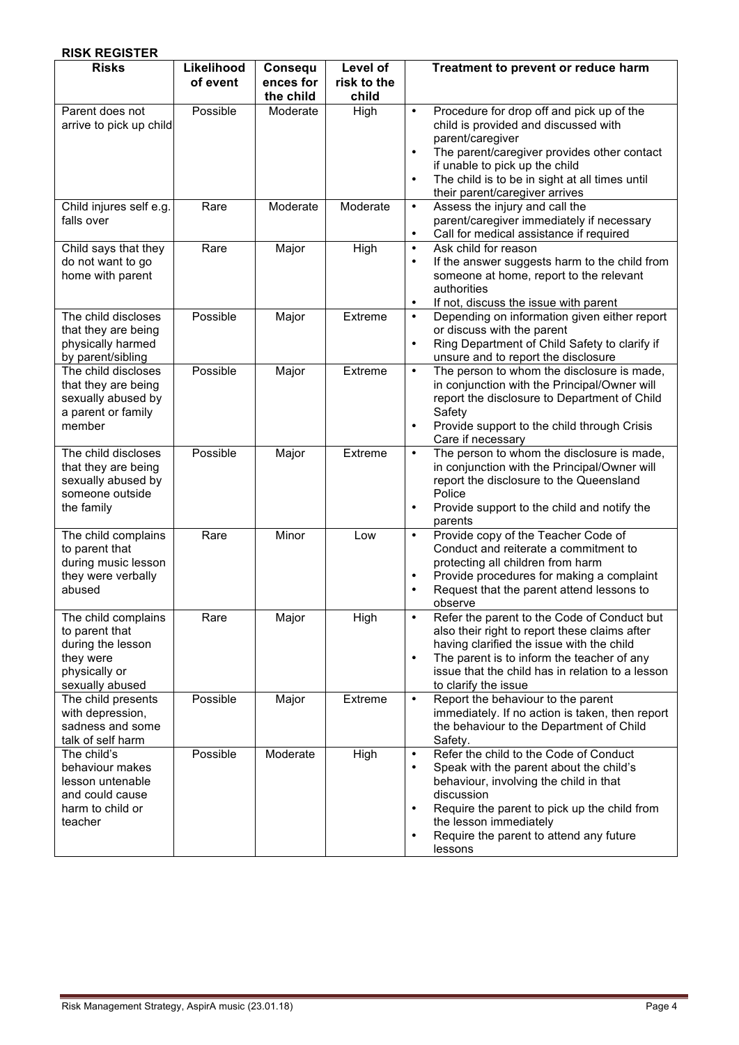| <b>RISK REGISTER</b>                                                                                        |                        |                                   |                                  |                                                                                                                                                                                                                                                                                                                               |
|-------------------------------------------------------------------------------------------------------------|------------------------|-----------------------------------|----------------------------------|-------------------------------------------------------------------------------------------------------------------------------------------------------------------------------------------------------------------------------------------------------------------------------------------------------------------------------|
| <b>Risks</b>                                                                                                | Likelihood<br>of event | Consequ<br>ences for<br>the child | Level of<br>risk to the<br>child | Treatment to prevent or reduce harm                                                                                                                                                                                                                                                                                           |
| Parent does not<br>arrive to pick up child                                                                  | Possible               | Moderate                          | High                             | Procedure for drop off and pick up of the<br>$\bullet$<br>child is provided and discussed with<br>parent/caregiver<br>The parent/caregiver provides other contact<br>$\bullet$<br>if unable to pick up the child<br>The child is to be in sight at all times until<br>$\bullet$<br>their parent/caregiver arrives             |
| Child injures self e.g.<br>falls over                                                                       | Rare                   | Moderate                          | Moderate                         | Assess the injury and call the<br>$\bullet$<br>parent/caregiver immediately if necessary<br>Call for medical assistance if required<br>$\bullet$                                                                                                                                                                              |
| Child says that they<br>do not want to go<br>home with parent                                               | Rare                   | Major                             | High                             | Ask child for reason<br>$\bullet$<br>If the answer suggests harm to the child from<br>$\bullet$<br>someone at home, report to the relevant<br>authorities<br>If not, discuss the issue with parent<br>$\bullet$                                                                                                               |
| The child discloses<br>that they are being<br>physically harmed<br>by parent/sibling                        | Possible               | Major                             | Extreme                          | Depending on information given either report<br>$\bullet$<br>or discuss with the parent<br>Ring Department of Child Safety to clarify if<br>$\bullet$<br>unsure and to report the disclosure                                                                                                                                  |
| The child discloses<br>that they are being<br>sexually abused by<br>a parent or family<br>member            | Possible               | Major                             | Extreme                          | The person to whom the disclosure is made,<br>$\bullet$<br>in conjunction with the Principal/Owner will<br>report the disclosure to Department of Child<br>Safety<br>Provide support to the child through Crisis<br>$\bullet$<br>Care if necessary                                                                            |
| The child discloses<br>that they are being<br>sexually abused by<br>someone outside<br>the family           | Possible               | Major                             | Extreme                          | The person to whom the disclosure is made,<br>$\bullet$<br>in conjunction with the Principal/Owner will<br>report the disclosure to the Queensland<br>Police<br>Provide support to the child and notify the<br>$\bullet$<br>parents                                                                                           |
| The child complains<br>to parent that<br>during music lesson<br>they were verbally<br>abused                | Rare                   | Minor                             | Low                              | Provide copy of the Teacher Code of<br>$\bullet$<br>Conduct and reiterate a commitment to<br>protecting all children from harm<br>Provide procedures for making a complaint<br>$\bullet$<br>Request that the parent attend lessons to<br>$\bullet$<br>observe                                                                 |
| The child complains<br>to parent that<br>during the lesson<br>they were<br>physically or<br>sexually abused | Rare                   | Major                             | High                             | Refer the parent to the Code of Conduct but<br>$\bullet$<br>also their right to report these claims after<br>having clarified the issue with the child<br>The parent is to inform the teacher of any<br>$\bullet$<br>issue that the child has in relation to a lesson<br>to clarify the issue                                 |
| The child presents<br>with depression,<br>sadness and some<br>talk of self harm                             | Possible               | Major                             | Extreme                          | Report the behaviour to the parent<br>$\bullet$<br>immediately. If no action is taken, then report<br>the behaviour to the Department of Child<br>Safety.                                                                                                                                                                     |
| The child's<br>behaviour makes<br>lesson untenable<br>and could cause<br>harm to child or<br>teacher        | Possible               | Moderate                          | High                             | Refer the child to the Code of Conduct<br>$\bullet$<br>Speak with the parent about the child's<br>$\bullet$<br>behaviour, involving the child in that<br>discussion<br>Require the parent to pick up the child from<br>$\bullet$<br>the lesson immediately<br>Require the parent to attend any future<br>$\bullet$<br>lessons |